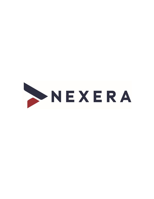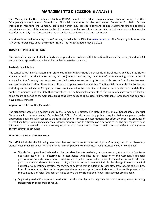# **MANAGEMENT'S DISCUSSION & ANALYSIS**

This Management's Discussion and Analysis (MD&A) should be read in conjunction with Nexera Energy Inc. (the "Company") audited annual Consolidated Financial Statements for the year ended December 31, 2021. Certain information regarding the Company contained herein may constitute forward-looking statements under applicable securities laws. Such statements are subject to known or unknown risks and uncertainties that may cause actual results to differ materially from those anticipated or implied in the forward-looking statements.

Additional information relating to the Company is available on SEDAR at www.sedar.com. The Company is listed on the TSX Venture Exchange under the symbol "NGY". The MD&A is dated May 30, 2022

## **BASIS OF PRESENTATION**

The financial data presented below has been prepared in accordance with International Financial Reporting Standards. All amounts are reported in Canadian dollars unless otherwise indicated.

### **Basis of consolidation**

The consolidated financial statements referenced in this MD&A include the accounts of the Company and its United States Branch, as well as Production Resources, Inc. (PRI) where the Company owns 75% of the outstanding shares. Control exists when the Company has the power over the investee, exposure or rights to variable returns from its involvement and has the ability to affect those returns through its power over the investee. The financial statements of subsidiaries, including entities which the Company controls, are included in the consolidated financial statements from the date that control commences until the date that control ceases. The financial statements of the subsidiaries are prepared for the same reporting period as the Company, using consistent accounting policies. All intercompany transactions and balances have been eliminated.

#### **Application of Accounting Estimates**

The significant accounting policies used by the Company are disclosed in Note 3 to the annual Consolidated Financial Statements for the year ended December 31, 2021. Certain accounting policies require that management make appropriate decisions with respect to the formulation of estimates and assumptions that affect the reported amounts of assets, liabilities, revenues and expenses. Management reviews its estimates on a periodic basis. The emergence of new information and changed circumstance may result in actual results or changes to estimates that differ materially from current estimated amounts.

#### **Non-IFRS and Non-GAAP Measures**

This MD&A includes the following measures that are from time to time used by the Company, but do not have any standardized meaning under IFRS and may not be comparable to similar measures presented by other companies:

- a) "Funds from operations" should not be considered an alternative to, or more meaningful than "cash flow from operating activities" as determined in accordance with IFRS as an indicator of the Company's financial performance. Funds from operations is determined by adding non-cash expenses to the net income or loss for the period, deducting decommissioning liability expenditures and does not include the change in working capital applicable to operating activities. Management believes that in addition to cash flow from operating activities, funds from operations is a useful supplemental measure as it provides an indication of the results generated by the Company's principal business activities before the consideration of how such activities are financed.
- b) "Operating netback" Operating netbacks are calculated by deducting royalties and operating costs, including transportation costs, from revenues.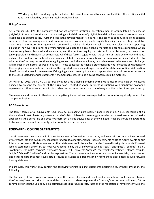c) "Working capital" – working capital includes total current assets and total current liabilities. The working capital ratio is calculated by deducting total current liabilities.

### **Going Concern**

At December 31, 2021, the Company had not yet achieved profitable operations, had an accumulated deficiency of \$39,306,718 since its inception and had a working capital deficiency of \$17,855,863 (defined as current assets less current liabilities), and expects to incur further losses in the development of its business. The ability to continue as a going concern is dependent on obtaining continued financial support, completing public equity financing or generating profitable operations in the future. Management is committed to raising additional capital to meet its exploration and operating obligation, however, additional equity financing is subject to the global financial markets and economic conditions, which have recently been disrupted and are volatile, and the debt and equity markets, which are distressed, particularly for junior petroleum and natural gas companies. All of these factors, together with the current unstable economic conditions, indicate the existence of material uncertainties related to events or conditions that may cast significant doubt as to whether the Company can continue as a going concern and, therefore, it may be unable to realize its assets and discharge its liabilities in the normal course of business. These consolidated financial statements do not reflect the adjustments to the carrying value of assets and liabilities, the reported revenues and expenses, and the statement of financial position classifications that would be necessary if the going concern assumption was not appropriate. Any adjustments necessary to the consolidated financial statements if the Company ceases to be a going concern could be material.

On March 11, 2020, the COVID-19 outbreak was declared a global pandemic by the World Health Organization. Measures enacted to prevent the spread of the virus have resulted in global business disruptions with significant economic repercussions. The current economic climate has caused uncertainty and extraordinary volatility in the oil and gas industry.

These events and the war in Ukraine have negatively impacted, and are expected to continue to negatively impact, the Company's business.

#### **BOE Presentation**

The term "barrels of oil equivalent" (BOE) may be misleading, particularly if used in isolation. A BOE conversion of six thousand cubic feet of natural gas to one barrel of oil (6:1) is based on an energy equivalency conversion method primarily applicable at the burner tip and does not represent a value equivalency at the wellhead. Readers should be aware that historical results are not necessarily indicative of future performance.

## **FORWARD-LOOKING STATEMENTS**

Certain statements contained within the Management's Discussion and Analysis, and in certain documents incorporated by reference into this document, constitute forward looking statements. These statements relate to future events or our future performance. All statements other than statements of historical fact may be forward looking statements. Forward looking statements are often, but not always, identified by the use of words such as "seek", "anticipate", "budget", "plan", "continue", "estimate", "expect", "forecast", "may", "will", "project", "predict", "potential", "targeting", "intend", "could", "might", "should", "believe" and similar expressions. These statements involve known and unknown risks, uncertainties and other factors that may cause actual results or events to differ materially from those anticipated in such forward looking statements.

In particular, this MD&A may contain the following forward looking statements pertaining to, without limitation, the following:

The Company's future production volumes and the timing of when additional production volumes will come on stream; the Company's realized price of commodities in relation to reference prices; the Company's future commodity mix; future commodity prices; the Company's expectations regarding future royalty rates and the realization of royalty incentives; the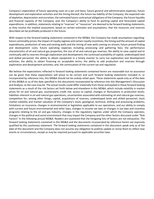Company's expectation of future operating costs on a per unit basis; future general and administrative expenses; future development and exploration activities and the timing thereof; the future tax liability of the Company; the expected rate of depletion, depreciation and accretion; the estimated future contractual obligations of the Company; the future liquidity and financial capacity of the Company; and, the Company's ability to fund its working capital and forecasted capital expenditures. In addition, statements relating to "reserves" or "resources" are deemed to be forward looking statements, as they involve the implied assessment, based on certain estimates and assumptions, that the resources and reserves described can be profitably produced in the future.

With respect to the forward looking statements contained in the MD&A, the Company has made assumptions regarding: future commodity prices; the impact of royalty regimes and certain royalty incentives; the timing and the amount of capital expenditures; production of new and existing wells and the timing of new wells coming on-stream; future proved finding and development costs; future operating expenses including processing and gathering fees; the performance characteristics of oil and natural gas properties; the size of oil and natural gas reserves; the ability to raise capital and to continually add to reserves through exploration and development; the continued availability of capital, undeveloped land and skilled personnel; the ability to obtain equipment in a timely manner to carry out exploration and development activities; the ability to obtain financing on acceptable terms; the ability to add production and reserves through exploration and development activities; and, the continuation of the current tax and regulation.

We believe the expectations reflected in forward looking statements contained herein are reasonable but no assurance can be given that these expectations will prove to be correct and such forward looking statements included in, or incorporated by reference into, this MD&A should not be unduly relied upon. These statements speak only as of the date of this MD&A or as of the date specified in the documents incorporated by reference into this Management's Discussion and Analysis, as the case may be. The actual results could differ materially from those anticipated in these forward looking statements as a result of the risk factors set forth below and elsewhere in this MD&A, which include volatility in market prices for oil and natural gas; counterparty credit risk; access to capital; changes or fluctuations in production levels; liabilities inherent in oil and natural gas operations; uncertainties associated with estimating oil and natural gas reserves; competition for, among other things, capital, acquisitions of reserves, undeveloped lands and skilled personnel; stock market volatility and market valuation of the Company's stock; geological, technical, drilling and processing problems; limitations on insurance; changes in environmental or legislation applicable to our operations, and our ability to comply with current and future environmental and other laws; changes in income tax laws or changes in tax laws and incentive programs relating to the oil and gas industry, changes in the regulatory regimes under which the Company operates, changes in the political and social environment that may impact the Company and the other factors discussed under "Risk Factors" in the following annual MD&A. Readers are cautioned that the foregoing lists of factors are not exhaustive. The forward looking statements contained in this MD&A and the documents incorporated by reference herein are expressly qualified by this cautionary statement. The forward looking statements contained in this document speak only as of the date of this document and the Company does not assume any obligation to publicly update or revise them to reflect new events or circumstances, except as may be required pursuant to applicable securities laws.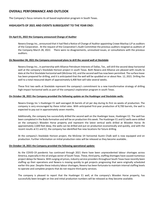## **OVERALL PERFORMANCE AND OUTLOOK**

The Company's focus remains its oil based exploration program in South Texas.

### **HIGHLIGHTS OF 2021 AND EVENTS SUBSEQUENT TO THE YEAR END:**

#### **On April 01, 2022 the Company announced Change of Auditor**

Nexera Energy Inc., announced that it had filed a Notice of Change of Auditor appointing Crowe MacKay LLP as auditors of the Corporation. At the request of the Corporation's Audit Committee the previous auditors resigned as auditors of the Company March 28, 2022. There were no disagreements, unresolved issues, or consultations with the previous auditors.

#### **On November 04, 2021 the Company announced plans to drill the second well at Stockdale**

Nexera Energy Inc., in partnership with Alliance Petroleum Interests of Dallas, Tex., will drill the second deep horizontal well at the company's Stockdale Horizon project in south Texas. Both Nexera and Alliance are pleased with results to date at the first Stockdale horizontal well (McGrew 1H), and the second well has now been permitted. The surface lease has been prepared for drilling, and it is anticipated that the well will be spudded on or about Nov. 12, 2021. Drilling the well to a total measured depth of approximately 6,400 feet will take several weeks.

These first two wells at Stockdale represent the company's commitment to a new transformative strategy of drilling high-impact horizontal wells as part of the company's exploration program in south Texas.

#### **On October 28, 2021 the Company provided the following update on the Huebinger and Stockdale wells:**

Nexera Energy Inc.'s Huebinger E1 well averaged 26 barrels of oil per day during its first six weeks of production. The company is very encouraged by these initial rates. With anticipated first-year production of 8,700 barrels, the well is expected to pay out in approximately seven months.

Additionally, the company has successfully drilled the second well on the Huebinger lease, Huebinger E2. The well has been completed in the Buda formation and will be on production this week. The Huebinger E1 and E2 wells were drilled on the company's Wooden Horse property and represent the latest vertical wells drilled at Wooden Horse. At approximately 2,600 feet deep, the wells can be drilled and put on production economically and quickly, and with the recent results at E1 and E2, the company has identified five new locations for future drilling.

At the company's Stockdale Horizon project, the McGrew 1H horizontal Austin Chalk well is now equipped and on production. Further information on initial production rates will be released as they become available..

#### **On October 19, 2021 the Company provided the following operational update:**

As the COVID-19 pandemic has continued through 2021 there have been unprecedented labour shortages across America, especially in the oil and gas sector of South Texas. These, third party, staffing shortages have caused numerous project delays for Nexera. With surging oil prices, industry service providers throughout South Texas have recently been staffing up their operations and Nexera is moving quickly to get projects progressing that were originally scheduled earlier this year. Despite these industry labour shortages, Nexera has been fortunate to maintain internal staffing levels to operate and complete projects that do not require third party services.

The company is pleased to report that the Huebinger E1 well, at the company's Wooden Horse property, has successfully been brought on line and initial production numbers will be released as they become available.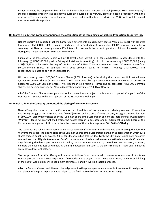Earlier this year, the company drilled its first high impact horizontal Austin Chalk well (McGrew 1H) at the company's Stockdale Horizon property. The company is currently equipping the McGrew 1H well to begin production within the next week. The company has begun the process to lease additional lands on trend with the McGrew 1H well to expand the Stockdale Horizon project.

#### **On March 11, 2021 the Company announced the acquisition of the remaining 25% stake in Production Resources Inc.**

Nexera Energy Inc. reported that the Corporation entered into an agreement (dated March 10, 2021) with Hillcrest Investments Ltd. ("**Hillcrest**") to acquire a 25% interest in Production Resources Inc. ("**PRI**"), a private south Texas company that Nexera currently owns a 75% interest in. Nexera is the current operator of PRI and its assets. After closing this transaction, Nexera will own 100% of PRI.

Pursuant to the transaction, Nexera will buy Hillcrest's 25% interest in PRI for USD\$400,000, in accordance with the following: (i) USD\$100,000 paid in 24 equal installments (monthly); plus (ii) the remaining USD\$300,000 (being CDN\$378,930) to be settled by way of the issuance of 3,789,300 Nexera common shares ("**Common Shares**") at \$0.10/Common Share. In addition, PRI's debt amounts owing to Hillcrest (totaling USD\$400,000) are cancelled/terminated as part of this transaction.

Hillcrest currently owns 1,500,000 Common Shares (2.6% of Nexera). After closing this transaction, Hillcrest will own 5,325,300 Common Shares (9.08% of Nexera). Hillcrest is controlled by Clarence Wagenaar who owns or controls an additional 2,500,000 Common Shares. Mr. Wagenaar, as a result of controlling an aggregate 7,825,300 Common Shares, will become an insider of Nexera (controlling approximately 13.3% of Nexera).

All of the Common Shares issued pursuant to the transaction are subject to a 4-month hold period. Completion of the transaction is subject to the final approval of the TSX Venture Exchange.

#### **On March 1, 2021 the Company announced the closing of a Private Placement**

Nexera Energy Inc. reported that the Corporation has closed its previously announced private placement. Pursuant to this closing, an aggregate 13,333,330 units ("**Units**") were issued at a price of \$0.06 per Unit, for aggregate consideration of \$800,000. Each Unit consisted of one (1) Common Share of the Corporation and one (1) share purchase warrant (the "**Warrant**") (each full Warrant shall entitle the holder thereof to purchase one (1) additional Common Share of the Corporation for a period of 12 months from the issuance of the Units at a price of \$0.10) (the "**Offering**").

The Warrants are subject to an acceleration clause whereby if after four months and one day following the date the Warrants are issued, the closing price of the Common Shares of the Corporation on the principal market on which such shares trade is equal to or exceeds \$0.15 for 30 consecutive trading days (with the 30<sup>th</sup> such trading date hereafter referred to as the "**Eligible Acceleration Date**"), the Warrant expiry date shall accelerate to the date which is 30 calendar days following the date a press release is issued by the Corporation announcing the reduced warrant term, provided, no more than five business days following the Eligible Acceleration Date: (i) the press release is issued; and (ii) notices are sent to all warrant holders.

The net proceeds from this offering will be used as follows, in accordance with day-to-day operations: (i) Stockdale Horizon prospect mineral lease acquisitions; (ii) Wooden Horse project mineral lease acquisitions, renewals and drilling of the Patriot well(s); (iii) service equipment purchase(s); and (iv) working capital purposes.

All of the Common Shares and Warrants issued pursuant to the private placement are subject to a 4-month hold period. Completion of the private placement is subject to the final approval of the TSX Venture Exchange.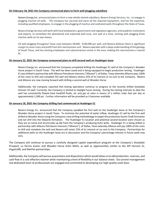#### **On February 18, 2021 the Company announced plans to form well plugging subsidiary**

Nexera Energy Inc. announced plans to form a new wholly owned subsidiary, Nexera Energy Services, Inc., to engage in plugging inactive oil wells. The Company has secured and owns all the required equipment, and has the expertise, including qualified employees, to engage in the plugging of inactive and orphaned wells throughout the State of Texas.

Nexera Energy Services will work with local landowners, government and regulatory agencies, and academic institutions and experts, to remediate the abandoned and orphaned well issue, one well at a time, starting with plugging three inactive wells on its own leases.

Oil well plugging throughout Texas costs between \$8,000 - \$140,000 per well, and Nexera believes there is significant margin to cover costs and profit from this new business unit. Nexera operates with a deep understanding of the geology of South Texas, and has existing employees and subcontractors active in the area, making this new business a natural fit.

#### **On January 22, 2021 the Company announced plans to drill second well on Huebinger lease**

Nexera Energy Inc. announced that the Company completed drilling the Huebinger E1 well at the Company's Wooden Horse project in South Texas. The well has been cased and is being equipped to begin production testing. Huebinger E1 was drilled in partnership with Alliance Petroleum Interests ("Alliance"), of Dallas, Texas whereby Alliance pays 100% of the costs to drill and complete the well and Nexera retains 25% of its interest at no cost to the Company. Nexera and Alliance are now moving forward with drilling a second well at Wooden Horse.

Additionally, the Company reported that testing operations continue to progress at the recently drilled Stockdale Horizon 1H well. Currently, the Company is limited to daylight hours testing. During the testing intervals to date the well has consistently flowed back load/kill fluids, oil, and gas at rates in excess of 1 million cubic feet per day at approximately 1,500 psi. Further information will be provided as it becomes available

#### **On January 18, 2021 the Company drilling had commenced at Huebinger E1**

Nexera Energy Inc. announced that the Company spudded the first well on the Huebinger lease at the Company's Wooden Horse project in South Texas. To minimize the potential of water inflow, Huebinger E1 will be the first well drilled at Wooden Horse using the Company's new drilling methodology to target the productive Austin Chalk formation and not drill into the Edwards formation. The Huebinger E1 location and potential second location were chosen as they are on trend and structurally up-dip from the Company's producing Kuhn wells. Huebinger E1 is being drilled in partnership with Alliance Petroleum Interests ("Alliance"), of Dallas, Texas whereby Alliance will pay 100% of the costs to drill and complete the well and Nexera will retain 25% of its interest at no cost to the Company. Partnerships for additional wells on the Huebinger lease are in discussions and the Company's percentage interest in future wells may vary.

The Company will continue to pursue a carefully designed capital expenditure program at the Company's Stockdale Prospect, La Vernia assets, and Wooden Horse Kuhn Wells, as well as opportunities similar to the API Horizon JV, HugoCellR, and MarPat partnerships.

Additionally, the Company will pursue acquisitions and dispositions which would allow us to add production, reserves, and cash flow in a cost effective manner while maintaining a level of flexibility in our balance sheet. Our proven management and dedicated team of professionals are engaged and committed to developing our high-quality asset base.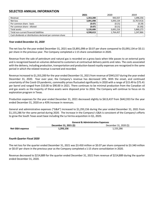## **SELECTED ANNUAL INFORMATION**

|                                                           | 2021      | 2020      | 2019        |
|-----------------------------------------------------------|-----------|-----------|-------------|
| Revenue                                                   | 1.353.200 | 943.557   | 1,096,356   |
| Net loss                                                  | 3,891,098 | 5,093,134 | (5,767,913) |
| Per common share - basic                                  | (0.07)    | (0.21)    | (0.29)      |
| Per common share - diluted                                | (0.07)    | (0.21)    | (0.29)      |
| Total assets                                              | 5.126.606 | 3.691.216 | 5,860,273   |
| Total non-current financial liabilities                   | 4,598,613 | 1,764,457 | 1,247,866   |
| Cash dividends or distributions declared per common share |           |           |             |

#### *Year ended December 31, 2020*

The net loss for the year ended December 31, 2021 was \$3,891,098 or \$0.07 per share compared to \$5,093,134 or \$0.11 per share in the previous year. The Company completed a 1:15 share consolidation in 2020.

Revenue from the sale of petroleum and natural gas is recorded on a gross basis when title passes to an external party and is recognized based on volumes delivered to customers at contractual delivery points and rates. The costs associated with the delivery, including production, transportation and production-based royalty expenses are recognized in the same period in which the related revenue is earned and recorded.

Revenue increased to \$1,353,200 for the year ended December 31, 2021 from revenue of \$943,557 during the year ended December 31, 2020. Year over year, the Company's revenue has decreased 14%. With the onset, and continued uncertainty of the Covid-19 pandemic, commodity prices fluctuated significantly in 2020 with a range of \$15.49 to \$75.41 per barrel and ranged from \$10.00 to \$90.00 in 2021. There continues to be minimal production from the Canadian oil and gas assets as the majority of these assets were disposed prior to 2016. The Company will continue to focus on its exploration program in Texas.

Production expenses for the year ended December 31, 2021 decreased slightly to \$613,437 from \$642,933 for the year ended December 31, 2020 on a 43% increase in revenues.

General and administrative expenses ("G&A") increased to \$1,293,156 during the year ended December 31, 2021 from \$1,155,286 for the same period during 2020. The increase in the Company's G&A is consistent of the Company's efforts to grow the South Texas asset base including the La Vernia acquisition in Q1, 2020.

|                 | <b>General &amp; Administrative Expenses</b> |                        |  |  |
|-----------------|----------------------------------------------|------------------------|--|--|
|                 | December 31, 2021 (\$)                       | December 31, 2020 (\$) |  |  |
| Net G&A expense | 1,293,156                                    | 1,155,286              |  |  |

#### *Fourth Quarter Fiscal 2020*

The net loss for the quarter ended December 31, 2021 was \$3.450 million or \$0.07 per share compared to \$3.340 million or \$0.07 per share in the previous year as the Company completed a 1:15 share consolidation in 2020.

Revenue decreased to \$214,889 for the quarter ended December 31, 2021 from revenue of \$214,889 during the quarter ended December 31, 2020.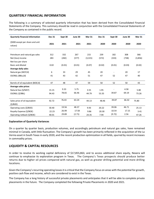## **QUARTERLY FINANCIAL INFORMATION**

The following is a summary of selected quarterly information that has been derived from the Consolidated Financial Statements of the Company. This summary should be read in conjunction with the Consolidated Financial Statements of the Company as contained in the public record.

| <b>Quarterly Financial Information</b>      | <b>Dec 31</b> | Sept 30 | June 30 | <b>Mar 31</b> | <b>Dec 31</b> | Sept 30                  | June 30 | <b>Mar 31</b> |
|---------------------------------------------|---------------|---------|---------|---------------|---------------|--------------------------|---------|---------------|
| (\$000 except per share and unit<br>values) | 2021          | 2021    | 2021    | 2021          | 2020          | 2020                     | 2020    | 2020          |
|                                             |               |         |         |               |               |                          |         |               |
| Petroleum and natural gas sales             | 312           | 332     | 267     | 215           | 239           | 182                      | 308     | 366           |
| Net (loss) income                           | 283           | (282)   | (577)   | (3, 315)      | (572)         | (333)                    | (738)   | (3,856)       |
| Net loss per share                          |               |         |         |               |               |                          |         |               |
| Basic and diluted                           | 0.02          | (0.01)  | (0.01)  | (0.07)        | (0.02)        | (0.01)                   | (0.03)  | (0.02)        |
| Average daily sales                         |               |         |         |               |               |                          |         |               |
| Natural gas (MCF/d)                         | 6             | 33      | 29      | 45            | 20            | $\overline{\phantom{a}}$ | 20      | 17            |
| Oil/NGL (BBLs/d)                            | 41            | 43      | 42      | 51            | 47            | 52                       | 47      | 40            |
|                                             |               |         |         |               |               |                          |         |               |
| Barrels of oil equivalent (BOE/d)           | 47            | 48      | 47      | 59            | 50            | 52                       | 50      | 43            |
| Average sales prices                        |               |         |         |               |               |                          |         |               |
| Natural Gas (\$/MCF)                        | 15.15         | 9.33    | 5.75    | 3.55          | 1.95          |                          | 4.58    | 5.80          |
| Oil/NGL (\$/BBL)                            | 94.43         | 78.65   | 66.46   | 44.79         | 53.35         | 39.87                    | 69.19   | 73.26         |
|                                             |               |         |         |               |               |                          |         |               |
| Sales price of oil equivalent               | 92.72         | 76.43   | 63.24   | 44.13         | 48.46         | 39.87                    | 66.42   | 75.80         |
| $($ \$/BOE)                                 |               |         |         |               |               |                          |         |               |
| Operating costs (\$/BOE)                    | 30.40         | 19.56   | 48.37   | 9.93          | 20.22         | 39.06                    | 46.71   | 25.13         |
| Royalty Expense (\$/BOE)                    | 22.23         | 26.99   | 17.58   | 9.86          | 20.30         | 10.54                    | 17.15   | 3.41          |
| Operating netback (\$/BOE)                  | 40.01         | 29.89   | (2.71)  | 24.35         | 7.94          | (9.72)                   | 2.56    | 47.26         |

#### **Explanation of Quarterly Variances**

On a quarter by quarter basis, production volumes, and accordingly petroleum and natural gas sales, have remained minimal in Canada, with little fluctuation. The Company's growth has been primarily reflected in the acquisition of the La Vernia asset in South Texas in early 2020, and the recent production optimization in all fields, spurred by recent increases in commodity prices.

## **LIQUIDITY & CAPITAL RESOURCES**

In order to resolve its working capital deficiency of \$17,855,863, and to access additional share equity, Nexera will continue to emphasize its exploration program in Texas. The Company's Texas prospects should produce better returns due to higher oil prices compared with natural gas, as well as greater drilling potential and more drilling locations.

Given the Company's recurring operating losses it is critical that the Company focus on areas with the potential for growth, positive cash flow and income, which are considered to exist in the Texas.

The Company has a long history of successful private placements and anticipates that it will be able to complete private placements in the future. The Company completed the following Private Placements in 2020 and 2021.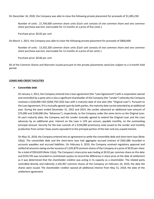On December 16, 2020, the Company was able to close the following private placement for proceeds of \$1,085,230:

Number of units: 21,704,600 common share units (Each unit consists of one common share and one common share purchase warrant, exercisable for 12 months at a price of five cents.)

Purchase price: \$0.05 per unit

On March 1, 2021, the Company was able to close the following private placement for proceeds of \$800,000:

Number of units: 13,333,330 common share units (Each unit consists of one common share and one common share purchase warrant, exercisable for 12 months at a price of ten cents.)

Purchase price: \$0.06 per unit

All of the Common Shares and Warrants issued pursuant to the private placements were/are subject to a 4-month hold period.

#### **LOANS AND CREDIT FACILITIES**

#### · **Convertible debt**

On January 1, 2012, the Company entered into a loan agreement (the "Loan Agreement") with a corporation owned and controlled by a party who is also a significant shareholder of the Company (the "Lender") whereby the Company received a \$150,000 USD (\$204,750 CAD) loan with a maturity date of one year (the "Original Loan"). Pursuant to the Loan Agreement, if it is mutually agreed upon by both parties, the maturity date can be extended by an additional year. During the years ended December 31, 2015 and 2014, the Lender advanced an additional loan amount of \$75,000 and \$100,000 (the "Advances"), respectively, to the Company under the same terms as the Original Loan. At each maturity date, the Company and the Lender mutually agreed to extend the Original Loan and the Loan advances by an additional year. Interest on the Loan is 12% per annum, payable monthly, on the outstanding principal amount. Security for the loan consists of a \$150,000 promissory note issued to the Lender and monthly production from certain Texas assets equivalent to the principal portion of the loan and any unpaid interest.

On May 31, 2018, the Company entered into an agreement to settle the convertible debt and short-term loan (Note 10(a)). The convertible debt and the short-term loan had aggregate accrued interest of \$301,686 recorded in accounts payables and accrued liabilities. On February 4, 2019, the Company received regulatory approval and settled all amounts owing via the issuance of 1,032,879 common shares of the Company at a price of \$0.05 per share for a total of \$924,659 (Note 12(a)). The Company's share price was trading at \$0.02 per common share on this date and \$554,795 was recorded to contributed surplus to record the difference in share price at the date of settlement as it was determined that the shareholder creditor was acting in its capacity as a shareholder. The related party controlled directly and indirectly 2,102,467 common shares of the Company on February 10, 2019, the date the shares were issued. The shareholder creditor waived all additional interest from May 31, 2018, the date of the settlement agreement.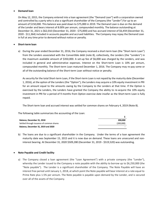### · **Demand loan**

On May 12, 2015, the Company entered into a loan agreement (the "Demand Loan") with a corporation owned and controlled by a party who is also a significant shareholder of the Company (the "Lender") for up to an amount of \$150,000. This balance was paid down to \$75,000 in 2019. The Demand Loan is due on the demand of the Lender and bears interest of 8.00% per annum, compounded monthly. The balance outstanding at December 31, 2021 is \$62,010 (December 31, 2020 - \$75,000) and has accrued interest of \$6,459 (December 31, 2020 - \$11,364) included in accounts payable and accrued liabilities. The Company may repay the Demand Loan in full at any time prior to demand without notice or penalty.

### · **Short-term loan**

a) During the year ended December 31, 2016, the Company received a short-term loan (the "Short-term Loan") from the Lenders associated with the Convertible debt (note 8), collectively, the Lenders (the "Lenders") in the maximum available amount of \$350,000. A set-up fee of \$6,000 was charged by the Lenders, and was included in general and administrative expenses. Interest on the Short-term Loan is 10% per annum, compounded monthly. The Short-term Loan matured December 1, 2016. The Company may re-pay some or all of the outstanding balance of the Short-term Loan without notice or penalty.

As security for the total Short-term Loan, if the Short-term Loan is not repaid by the maturity date (December 1, 2016), at the option of the Lenders (the "Option"), the Lenders may acquire a 10% equity investment in PRI for an amount equal to the amounts owing by the Company to the Lenders at that time. If the Option is exercised by the Lenders, the Lenders have granted the Company the ability to re-acquire the 10% equity investment in PRI for a period of 9 months from Option exercise date insofar as the Short-term Loan is fully repaid.

The Short-term loan and accrued interest was settled for common shares on February 4, 2019 (Note 8).

The following table summarizes the accounting of the Loan:

| Balance, December 31, 2018                | 200.000   |
|-------------------------------------------|-----------|
| Settled through issuance of common shares | (200.000) |
| Balance, December 31, 2019 and 2020       | -         |

b) The loans are due to a significant shareholder in the Company. Under the terms of a loan agreement the maturity date was September 15, 2015 and it is now due on demand. These loans are unsecured and noninterest bearing. At December 31, 2020 \$509,280 (December 31, 2019 - \$519,520) was outstanding.

#### · **Note Payable and Credit facility**

a) The Company closed a loan agreement (the "Loan Agreement") with a private company (the "Lender"), whereby the Lender issued to the Company a note payable with the ability to borrow up to \$6,250,000 (the "Note payable"). The Lender is a significant shareholder of the Company. The Note Payable will have an interest free period until January 1, 2018, at which point the Note payable will bear interest at a rate equal to Prime Rate plus 1.5% per annum. The Note payable is payable upon demand by the Lender, and is secured over all of the assets of the Company.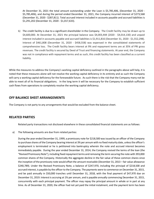At December 31, 2021 the total amount outstanding under the Loan is \$5,785,406, (December 31, 2020 - \$5,785,406), and during the period ended December 31, 2021, the Company incurred interest of \$273,568 (December 31, 2020 - \$287,811). Total accrued interest included in accounts payable and accrued liabilities is \$1,291,202 (December 31, 2020 - \$1,017,633).

b) The credit facility is due to a significant shareholder in the Company. The Credit facility may be drawn up to \$4,600,000. At December 31, 2021 the principal balance was \$4,003,444 (2020 - \$4,014,130) and unpaid interest included in accounts payable and accrued liabilities is \$1,911,816 (December 31, 2020 - \$1,552,298). Interest of \$461,808 (December 31, 2020 - \$458,558) was expensed in the consolidated statements of comprehensive loss. The Credit facility bears interest at 9% and repayment terms are at 35% of PRI gross revenues. The credit facility is secured by Deed of Trust and financing statements. At year end, the Company was not in compliance with repayment terms and as such, this credit facility has been classified as a current liability.

While the measures to address the Company's working capital deficiency outlined in the paragraphs above will help, it is noted that these measures alone will not resolve the working capital deficiency in its entirety and as such the Company will carry a working capital deficiency for the foreseeable future. As such there is the risk that the Company many not be able to meet all of its financial obligations. In the long term it will be necessary for the Company to establish sufficient cash flows from operations to completely resolve the working capital deficiency.

## **OFF BALANCE SHEET ARRANGEMENTS**

The Company is not party to any arrangements that would be excluded from the balance sheet.

## **RELATED PARTIES**

Related party transactions not disclosed elsewhere in these consolidated financial statements are as follows:

a) The following amounts are due from related parties:

During the year ended December 31, 1999, a promissory note for \$218,500 was issued by an officer of the Company to purchase shares of the Company bearing interest at 3% per annum with no fixed maturity date, unless the officer's employment is terminated or he is petitioned into bankruptcy wherein the note and accrued interest becomes immediately payable. During the year ended December 31, 2014, the Company revised the terms of the loan (the "Revised Promissory Note"), including fixed repayment terms and removing the term securing the note with 393,000 common shares of the Company. Historically the aggregate decline in the fair value of these common shares since the inception of the promissory note would offset the amount receivable (December 31, 2013 – fair value allowance \$240,789). Under the Revised Promissory Note, a balance of \$247,970, including the principal of \$218,500 and accrued interest, is payable by the officer to the Company. The payments were to commence on December 31, 2015, and be paid annually in \$50,000 tranches until December 31, 2018, with the final payment of \$47,970 due on December 31, 2019. Interest is accruing at 1% per annum, and is payable annually commencing December 31, 2015, concurrently with each principal payment. The officer may repay the principal amount in whole or in part at any time. As of December 31, 2020, the officer had not yet paid the initial instalment, and the payment term has been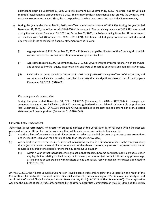extended to begin on December 31, 2021 with final payment due December 31, 2025. The officer has not yet paid the initial instalment due on December 31, 2021. The terms of the loan agreement do not provide the Company with recourse to ensure repayment. Thus, the share purchase loan has been presented as a deduction from equity.

- b) During the year ended December 31, 2020, an officer was advanced a total of \$255,470. During the year ended December 31, 2020, the officer repaid \$140,000 of this amount. The remaining balance of \$115,471 was repaid during the year ended December 31, 2021. At December 31, 2021, the balance owing from the officer in respect of this loan was \$nil (December 31, 2020 - \$115,471). Additional related party transactions not disclosed elsewhere in these consolidated financial statements are as follows:
	- (i) Aggregate fees of \$Nil (December 31, 2020 \$Nil) were charged by directors of the Company all of which was recorded in the consolidated statement of comprehensive loss.
	- (ii) Aggregate fees of \$36,000 (December 31, 2020 \$32,196) were charged by corporations, which are owned and controlled by other equity investors in PRI, and were all recorded as general and administrative costs.
	- (iii) Included in accounts payable at December 31, 2021 was \$1,674,087 owing to officers of the Company and corporations which are owned or controlled by a party that is a significant shareholder of the Company (December 31, 2019 - \$516,400).

### *Key management compensation*

During the year ended December 31, 2021, \$390,205 (December 31, 2020 - \$478,324) in management compensation was incurred. Of which, \$289,471 was recognized to the consolidated statement of comprehensive loss (December 31, 2020 – \$478,324) and \$100,734 was capitalized to property and equipment in the consolidated statement of financial position (December 31, 2020 - \$nil).

### *Corporate Cease Trade Orders*

Other than as set forth below, no director or proposed director of the Corporation is, or has been within the past ten years, a director or officer of any other company that, while such person was acting in that capacity:

- (i) was the subject of a cease trade or similar order or an order that denied the company access to any exemptions under securities legislation for a period of more than 30 consecutive days;
- (ii) was subject to an event that resulted, after that individual ceased to be a director or officer, in the company being the subject of a cease trade or similar order or an order that denied the company access to any exemptions under securities legislation for a period of more than 30 consecutive days; or
	- (iv) within a year of that individual ceasing to act in that capacity, became bankrupt, made a proposal under any legislation relating to bankruptcy or insolvency or was subject to or instituted any proceedings, arrangement or compromise with creditors or had a receiver, receiver manager or trustee appointed to hold its assets.

On May 5, 2016, the Alberta Securities Commission issued a cease trade order against the Corporation as a result of the Corporation's failure to file its annual audited financial statements, annual management's discussion and analysis, and certification of annual filings for the year ended December 31, 2015 (the "**2015 Unfiled Documents**"). The Corporation was also the subject of cease trade orders issued by the Ontario Securities Commission on May 10, 2016 and the British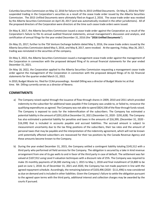Columbia Securities Commission on May 12, 2016 for failure to file its 2015 Unfilled Documents. On May 6, 2016 the TSXV suspended trading in the Corporation's securities as a result of the cease trade order issued by the Alberta Securities Commission. The 2015 Unfiled Documents were ultimately filed on August 2, 2016. The cease trade order was revoked by the Alberta Securities Commission on April 20, 2017 (and was automatically revoked in the other jurisdictions). All of the proposed directors of the Corporation were directors at the time such cease trade orders were issued.

On May 8, 2017, the Alberta Securities Commission issued a cease trade order against the Corporation as a result of the Corporation's failure to file its annual audited financial statements, annual management's discussion and analysis, and certification of annual filings for the year ended December 31, 2016 (the "**2016 Unfiled Documents**").

On May 25, 2017, further to the TSX Venture Exchange bulletin dated May 5, 2016, the cease trade orders issued by the Alberta Securities Commission dated May 5, 2016, and May 8, 2017, were revoked. At the opening, Friday, May 26, 2017, trading was reinstated in the securities of the company.

On May 3, 2022, the Alberta Securities Commission issued a management cease trade order against the management of the Corporation in connection with the proposed delayed filing of its annual financial statements for the year ended December 31, 2021.

On May 18, 2022, the Corporation applied to the Alberta Securities Commission requesting a management cease trade order against the management of the Corporation in connection with the proposed delayed filings of its Q1 financial statements for the quarter ended March 31, 2022.

In 2010, Budget Waste Inc. filed for CCAA proceedings. Kendall Dilling was a director of Budget Waste Inc at that time. Mr. Dilling currently serves as a director of Nexera.

## **COMMITMENTS**

- a) The Company raised capital through the issuance of flow-through shares in 2009, 2010 and 2011 which provided indemnity to the subscriber for additional taxes payable if the Company was unable to, or failed to, renounce the qualifying expenditures as agreed. The Company was not able to spend \$824,338 of the flow-through funds raised. The Company is exposed to costs for the indemnification of the subscribers. The Company has estimated a potential liability in the amount of \$291,628 at December 31, 2021 (December 31, 2020 - \$291,628). The Company has also estimated a potential liability for penalties and taxes in the amounts of \$16,399, (December 31, 2020 - \$16,399) that is included in accounts payable and accrued liabilities. The accrued amount is subject to measurement uncertainty due to the tax filing positions of the subscribers, their tax rates and the amount of personal taxes that may be payable and the interpretation of the indemnity agreement, which will not be known until potentially affected subscribers are reassessed for their tax positions by the Canada Revenue Agency and these amounts become known to the Company.
- b) During the year ended December 31, 2015, the Company settled a contingent liability totaling \$145,512 with a third party who performed oil field services for the Company. The obligation is secured by a take in kind revenue arrangement from one of its gas wells to and in favor of the third party in case of default. The settlement was fair valued at \$107,912 using Level II valuation techniques with a discount rate of 25%. The Company was required to make 35 monthly payments of \$4,300 starting July 1, 2015 to May 1, 2018 and final installment of \$3,800 to be paid on June 1, 2018. As of December 31, 2021 and 2020, the Company has not made payment in line with the agreed repayment schedule. Accordingly, the remaining balance of \$103,496 (2020 - \$111,496) is now considered as due on demand and is included in other liabilities. Given the Company's failure to settle the obligation pursuant to the agreed upon terms with the third party, additional interest and collection charges may be awarded by the courts if pursued.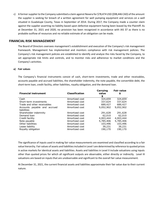c) A former supplier to the Company submitted a claim against Nexera for \$78,474 USD (\$98,446 CAD) of the amount the supplier is seeking for breach of a written agreement for well pumping equipment and services on a well situated in Guadalupe County, Texas in September of 2014. During 2017, the Company made a counter claim against the supplier asserting no liability based upon defective equipment having been leased by the Plaintiff. As at December 31, 2021 and 2020, no provision has been recognized in accordance with IAS 37 as there is no probable outflow of resources and no reliable estimate of an obligation can be made.

### **FINANCIAL RISK MANAGEMENT**

The Board of Directors oversees management's establishment and execution of the Company's risk management framework. Management has implemented and monitors compliance with risk management policies. The Company's risk management policies are established to identify and analyze the risks faced by the Company, to set appropriate risk limits and controls, and to monitor risks and adherence to market conditions and the Company's activities.

#### **a) Fair values**

The Company's financial instruments consist of cash, short-term investments, trade and other receivables, accounts payable and accrued liabilities, the shareholder indemnity, the note payable, the convertible debt, the short-term loan, credit facility, other liabilities, royalty obligation, and the demand loan.

| <b>Financial instrument</b>  | <b>Classification</b> | Carrying<br>value | <b>Fair value</b><br>\$ |
|------------------------------|-----------------------|-------------------|-------------------------|
|                              |                       | \$                |                         |
| Cash                         | Amortized cost        | 324,659           | 324,659                 |
| Short-term investments       | Amortized cost        | 337,624           | 337,624                 |
| Trade and other receivables  | Amortized cost        | 689,427           | 689,427                 |
| Accounts payable and accrued | Amortized cost        | 9,052,902         | 9,052,902               |
| liabilities                  |                       |                   |                         |
| Shareholder indemnity        | Amortized cost        | 291,628           | 291,628                 |
| Demand loan                  | Amortized cost        | 62,010            | 62,010                  |
| Credit facility              | Amortized cost        | 4,003,444         | 4,003,444               |
| Note payable                 | Amortized cost        | 5,785,406         | 5,785,406               |
| Other liabilities            | Amortized cost        | 103,496           | 103,496                 |
| Lease liability              | Amortized cost        | 39,231            | 39,231                  |
| Royalty obligation           | Amortized cost        | 190,170           | 190,170                 |
|                              |                       |                   |                         |

The significance of inputs used in making fair value measurements are examined and classified according to a fair value hierarchy. Fair values of assets and liabilities included in Level I are determined by reference to quoted prices in active markets for identical assets and liabilities. Assets and liabilities in Level II include valuations using inputs other than quoted prices for which all significant outputs are observable, either directly or indirectly. Level III valuations are based on inputs that are unobservable and significant to the overall fair value measurement.

At December 31, 2021, the current financial assets and liabilities approximate their fair value due to their current nature.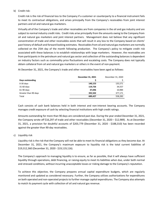b) Credit risk:

Credit risk is the risk of financial loss to the Company if a customer or counterparty to a financial instrument fails to meet its contractual obligations, and arises principally from the Company's receivables from joint interest partners and oil and natural gas marketers.

Virtually all of the Company's trade and other receivables are from companies in the oil and gas industry and are subject to normal industry credit risks. Credit risks arise principally from the amounts owing to the Company from oil and natural gas marketers and joint interest partners. Management does not believe that any significant concentration of trade and other receivables exists that will result in any loss to the Company based on clients' past history of default and forward looking estimates. Receivables from oil and natural gas marketers are normally collected on the 25th day of the month following production. The Company's policy to mitigate credit risk associated with these balances is to establish relationships with large marketers. However, the receivables are from participants in the petroleum and natural gas sector and collection of the outstanding balances is dependent on industry factors such as commodity price fluctuations and escalating costs. The Company does not typically obtain collateral from oil and natural gas marketers or others in the event of non-payment.

At December 31, 2021, the Company's trade and other receivables have been aged as follows:

|                      | December 31, 2021 | December 31, 2020 |
|----------------------|-------------------|-------------------|
| Days outstanding     | Ş                 |                   |
| $0-30$ days          | 140,153           | 135,571           |
| 31-60 days           | 119,726           | 34,557            |
| 61-90 days           | 37,046            | 10,984            |
| Greater than 90 days | 392.502           | 377,171           |
| Total                | 689.427           | 558,283           |
|                      |                   |                   |

Cash consists of cash bank balances held in both interest and non-interest bearing accounts. The Company manages credit exposure of cash by selecting financial institutions with high credit ratings.

Amounts outstanding for more than 90 days are considered past due. During the year ended December 31, 2021, the Company wrote off \$16,297 of trade and other receivables (December 31, 2020 – \$12,989). As at December 31, 2021, a provision for doubtful accounts of \$203,779 (December 31, 2020 - \$188,310) has been recorded against the greater than 90-day receivables.

### c) Liquidity risk

Liquidity risk is the risk that the Company will not be able to meet its financial obligations as they become due. At December 31, 2021, the Company's maximum exposure to liquidity risk is the total current liabilities of \$19,312,360 (December 31, 2020 - \$19,119,116).

The Company's approach to managing liquidity is to ensure, as far as possible, that it will always have sufficient liquidity through operations, debt financing, or raising equity to meet its liabilities when due, under both normal and stressed conditions, without incurring unacceptable losses or risking damage to the Company's reputation.

To achieve this objective, the Company prepares annual capital expenditure budgets, which are regularly monitored and updated as considered necessary. Further, the Company utilizes authorizations for expenditures on both operated and non-operated projects to further manage capital expenditures. The Company also attempts to match its payment cycle with collection of oil and natural gas revenue.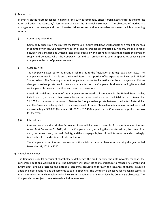#### d) Market risk

Market risk is the risk that changes in market prices, such as commodity prices, foreign exchange rates and interest rates will affect the Company's loss or the value of the financial instruments. The objective of market risk management is to manage and control market risk exposures within acceptable parameters, while maximizing returns.

### (i) Commodity price risk:

Commodity price risk is the risk that the fair value or future cash flows will fluctuate as a result of changes in commodity prices. Commodity prices for oil and natural gas are impacted by not only the relationship between the Canadian and United States dollar but also world economic events that dictate the levels of supply and demand. All of the Company's oil and gas production is sold at spot rates exposing the Company to the risk of price movements.

### (ii) Currency risk:

The Company is exposed to the financial risk related to the fluctuation of foreign exchange rates. The Company operates in Canada and the United States and a portion of its expenses are incurred in United States dollars. The Company does not hedge its exposure to fluctuations in the exchange rate. Future changes in exchange rates could have a material effect on the Company's business including its intended capital plans, its financial condition and results of operations.

Certain financial instruments of the Company are exposed to fluctuations in the United States dollar, including cash, trade and other receivables and accounts payable and accrued liabilities. As at December 31, 2020, an increase or decrease of 10% to the foreign exchange rate between the United States dollar and the Canadian dollar applied to the average level of United States denominated cash would have had approximately a \$30,000 (December 31, 2020 - \$32,400) impact on the Company's comprehensive loss for the year.

(iii) Interest rate risk:

Interest rate risk is the risk that future cash flows will fluctuate as a result of changes in market interest rates. As at December 31, 2021, all of the Company's debt, including the short-term loan, the convertible debt, the demand loan, the credit facility, and the note payable, bears fixed interest rates and accordingly, is not subject to market interest rate fluctuations.

The Company has no interest rate swaps or financial contracts in place as at or during the year ended December 31, 2021 or 2020.

#### d) Capital management

The Company's capital consists of shareholders' deficiency, the credit facility, the note payable, the loan, the convertible debt and working capital. The Company will adjust its capital structure to manage its current and future debt, drilling programs and potential corporate acquisitions through the issuance of shares, sourcing additional debt financing and adjustments to capital spending. The Company's objective for managing capital is to maximize long-term shareholder value by ensuring adequate capital to achieve the Company's objectives. The Company is not subject to any external capital requirements.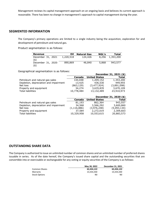Management reviews its capital management approach on an ongoing basis and believes its current approach is reasonable. There has been no change in management's approach to capital management during the year.

### **SEGMENTED INFORMATION**

The Company's primary operations are limited to a single industry being the acquisition, exploration for and development of petroleum and natural gas.

Product segmentation is as follows:

| Revenue                   | Oil       | <b>Natural Gas</b> | NGL's | Total     |
|---------------------------|-----------|--------------------|-------|-----------|
| December 31, 2021<br>(\$) | 1,220,518 | 124,426            | 8,256 | 1,353,200 |
| December 31, 2020<br>(4)  | 890,869   | 46,840             | 5,868 | 943,577   |

Geographical segmentation is as follows:

|                                        |               |                      | December 31, 2021 (\$) |
|----------------------------------------|---------------|----------------------|------------------------|
|                                        | Canada        | <b>United States</b> | Total                  |
| Petroleum and natural gas sales        | 144,048       | 1,209,152            | 1,353,200              |
| Depletion, depreciation and impairment | 13,425        | 436,530              | 449,955                |
| Net loss                               | (863,129)     | (3,477,924)          | (3,891,098)            |
| Property and equipment                 | 34,274        | 3,635,835            | 3,670,109              |
| <b>Total liabilities</b>               | 10,778,484    | 13,132,489           | 23,910,973             |
|                                        |               |                      |                        |
|                                        |               |                      |                        |
|                                        |               |                      | December 31, 2020 (\$) |
|                                        | Canada        | <b>United States</b> | Total                  |
| Petroleum and natural gas sales        | 81,193        | 862,364              | 943,557                |
| Depletion, depreciation and impairment | 34,568        | 3,566,292            | 3,600,860              |
| Net loss                               | (1, 116, 886) | (3,976,248)          | (5,093,134)            |
| Property and equipment                 | 37,584        | 2,272,019            | 2,309,603              |

## **OUTSTANDING SHARE DATA**

The Company is authorized to issue an unlimited number of common shares and an unlimited number of preferred shares issuable in series. As of the date hereof, the Company's issued share capital and the outstanding securities that are convertible into or exercisable or exchangeable for any voting or equity securities of the Company is as follows:

|               | May 30, 2022 | December 31, 2021 |
|---------------|--------------|-------------------|
| Common Shares | 62.434.122   | 62,434,122        |
| Warrants      | 13.333.330   | 13,333,330        |
| Stock Options | Nil          | Nil               |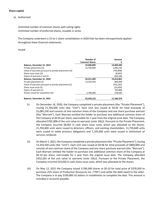### **Share capital**

a) Authorized

Unlimited number of common shares with voting rights Unlimited number of preferred shares, issuable in series

The Company underwent a 15-to-1 share consolidation in 2020 that has been retrospectively applied throughout these financial statements.

#### Issued

|                                                       | Number of            | Amount     |
|-------------------------------------------------------|----------------------|------------|
|                                                       | <b>Common Shares</b> |            |
| Balance, December 31, 2019                            | 23,606,892           | 14,469,283 |
| Private placement (iii)                               | 21,704,600           | 1,085,230  |
| Value of warrants pursuant to private placement (iii) |                      | (765, 898) |
| Share issue costs (iii)                               |                      | (8,002)    |
| Expiry of warrants (i and ii)                         |                      | 834,248    |
| Balance, December 31, 2020                            | 45,311,492           | 15,614,861 |
| Private placement (ii)                                | 13,333,330           | 800,000    |
| Value of warrants pursuant to private placement (ii)  |                      | (352, 265) |
| Share issue costs (ii)                                |                      | (23,050)   |
| Expiry of warrants (i)                                |                      | 765,898    |
| Shares issued for acquisition (iii)                   | 3,789,300            | 378,930    |
| Balance, December 31, 2021                            | 62,434,122           | 17,184,374 |

- (i) On December 16, 2020, the Company completed a private placement (the "Private Placement"), issuing 21,704,600 units (the "Unit"). Each Unit was issued at \$0.05 for total proceeds of \$1,085,230 and consists of one common share of the Company and one share purchase warrant (the "Warrant"). Each Warrant entitled the holder to purchase one additional common share of the Company at \$0.05 per share, exercisable for 1 year from the original issue date. The Company allocated \$765,898 of the unit value to warrants (note 10(c)). Pursuant to the Private Placement, the Company incurred \$8,002 in cash share issue costs, which was allocated to the shares. 21,704,600 units were issued to directors, officers, and existing shareholders. 11,759,600 units were issued to settle previous obligations and 7,195,000 units were issued in settlement of services rendered.
- (ii) On March 1, 2021, the Company completed a private placement (the "Private Placement"), issuing 13,333,330 units (the "Unit"). Each Unit was issued at \$0.06 for total proceeds of \$800,000 and consists of one common share of the Company and one share purchase warrant (the "Warrant"). Each Warrant entitled the holder to purchase one additional common share of the Company at \$0.10 per share, exercisable for 1 year from the original issue date. The Company allocated \$352,265 of the unit value to warrants (note  $10(c)$ ). Pursuant to the Private Placement, the Company incurred \$23,050 in cash share issue costs, which was allocated to the shares.
- (iii) On May 12, 2021 the Company issued 3,789,300 shares at \$0.10 for total price of \$378,930 to purchase 25% share of Production Resources Inc. ("PRI") and settle the debt owed to the seller. The Company is to pay \$100,000 US dollars in installments to complete the deal. This amount is included in accounts payable.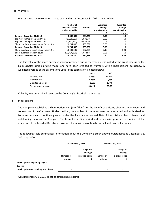#### b) Warrants

|                                           | Number of<br>warrants issued<br>and exercisable | Amount<br>\$ | Weighted<br>average<br>exercise price | Weighted<br>average<br><b>Remaining life</b> |
|-------------------------------------------|-------------------------------------------------|--------------|---------------------------------------|----------------------------------------------|
|                                           |                                                 |              |                                       | (years)                                      |
| Balance, December 31, 2019                | 3,888,889                                       | 834,248      | 0.05                                  | 1.0 <sub>1</sub>                             |
| Expiry of share purchase warrants         | (1,666,667)                                     | (388,928)    | 0.05                                  | 1.0                                          |
| Expiry of share purchase warrants         | (2,222,222)                                     | (445,320)    | 0.05                                  | 1.0                                          |
| Share purchase warrant issued (note 10(b) | 21,704,600                                      | 765,898      | 0.05                                  | 1.0                                          |
| Balance, December 31, 2020                | 21,704,600                                      | 765,898      | 0.05                                  | 1.0                                          |
| Share purchase warrant issued (note 10(b) | 13,333,330                                      | 352,265      | 0.10                                  | 0.16                                         |
| Share purchase warrant issued             | (21,704,600)                                    | (765,898)    | 0.05                                  | 1.0                                          |
| Balance, December 31, 2021                | 13,333,330                                      | 352,265      | 0.10                                  | 0.16                                         |

Warrants to acquire common shares outstanding at December 31, 2021 are as follows:

The fair value of the share purchase warrants granted during the year are estimated at the grant date using the Black-Scholes option pricing model and have been credited to warrants within shareholders' deficiency. A weighted average of the assumptions used in the calculation is noted below:

|                        | 2021    | 2020   |
|------------------------|---------|--------|
| Risk-free rate         | 0.25%   | 0.24%  |
| Expected life          | 1 year  | 1 year |
| Expected volatility    | 192%    | 174%   |
| Fair value per warrant | \$0.026 | \$0.03 |

Volatility was determined based on the Company's historical share prices.

#### d) Stock options

The Company established a share option plan (the "Plan") for the benefit of officers, directors, employees and consultants of the Company. Under the Plan, the number of common shares to be reserved and authorized for issuance pursuant to options granted under the Plan cannot exceed 10% of the total number of issued and outstanding shares of the Company. The term, the vesting period and the exercise price are determined at the discretion of the Board of Directors. However, the maximum option term shall not exceed five years.

The following table summarizes information about the Company's stock options outstanding at December 31, 2021 and 2020:

|                                        | December 31, 2021        |                          | December 31, 2020 |                |
|----------------------------------------|--------------------------|--------------------------|-------------------|----------------|
|                                        |                          | Weighted                 |                   | Weighted       |
|                                        |                          | average                  |                   | average        |
|                                        | Number of                | exercise price           | Number of         | exercise price |
|                                        | options                  |                          | options           |                |
| Stock options, beginning of year       | $\overline{\phantom{0}}$ | $\blacksquare$           |                   |                |
| Expired                                | -                        | $\overline{\phantom{a}}$ |                   |                |
| Stock options outstanding, end of year |                          | -                        |                   |                |

As at December 31, 2021, all stock options have expired.